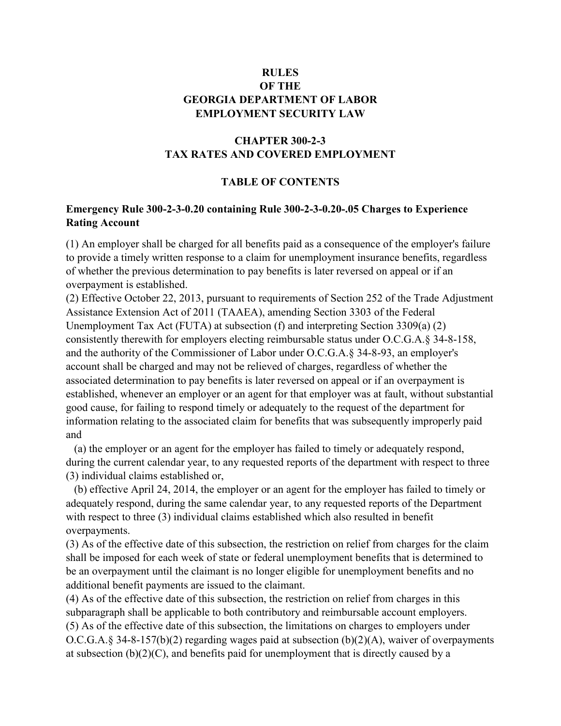## **RULES OF THE GEORGIA DEPARTMENT OF LABOR EMPLOYMENT SECURITY LAW**

# **CHAPTER 300-2-3 TAX RATES AND COVERED EMPLOYMENT**

### **TABLE OF CONTENTS**

### **Emergency Rule 300-2-3-0.20 containing Rule 300-2-3-0.20-.05 Charges to Experience Rating Account**

(1) An employer shall be charged for all benefits paid as a consequence of the employer's failure to provide a timely written response to a claim for unemployment insurance benefits, regardless of whether the previous determination to pay benefits is later reversed on appeal or if an overpayment is established.

(2) Effective October 22, 2013, pursuant to requirements of Section 252 of the Trade Adjustment Assistance Extension Act of 2011 (TAAEA), amending Section 3303 of the Federal Unemployment Tax Act (FUTA) at subsection (f) and interpreting Section 3309(a) (2) consistently therewith for employers electing reimbursable status under O.C.G.A.§ 34-8-158, and the authority of the Commissioner of Labor under O.C.G.A.§ 34-8-93, an employer's account shall be charged and may not be relieved of charges, regardless of whether the associated determination to pay benefits is later reversed on appeal or if an overpayment is established, whenever an employer or an agent for that employer was at fault, without substantial good cause, for failing to respond timely or adequately to the request of the department for information relating to the associated claim for benefits that was subsequently improperly paid and

 (a) the employer or an agent for the employer has failed to timely or adequately respond, during the current calendar year, to any requested reports of the department with respect to three (3) individual claims established or,

 (b) effective April 24, 2014, the employer or an agent for the employer has failed to timely or adequately respond, during the same calendar year, to any requested reports of the Department with respect to three (3) individual claims established which also resulted in benefit overpayments.

(3) As of the effective date of this subsection, the restriction on relief from charges for the claim shall be imposed for each week of state or federal unemployment benefits that is determined to be an overpayment until the claimant is no longer eligible for unemployment benefits and no additional benefit payments are issued to the claimant.

(4) As of the effective date of this subsection, the restriction on relief from charges in this subparagraph shall be applicable to both contributory and reimbursable account employers. (5) As of the effective date of this subsection, the limitations on charges to employers under O.C.G.A.§ 34-8-157(b)(2) regarding wages paid at subsection (b)(2)(A), waiver of overpayments at subsection  $(b)(2)(C)$ , and benefits paid for unemployment that is directly caused by a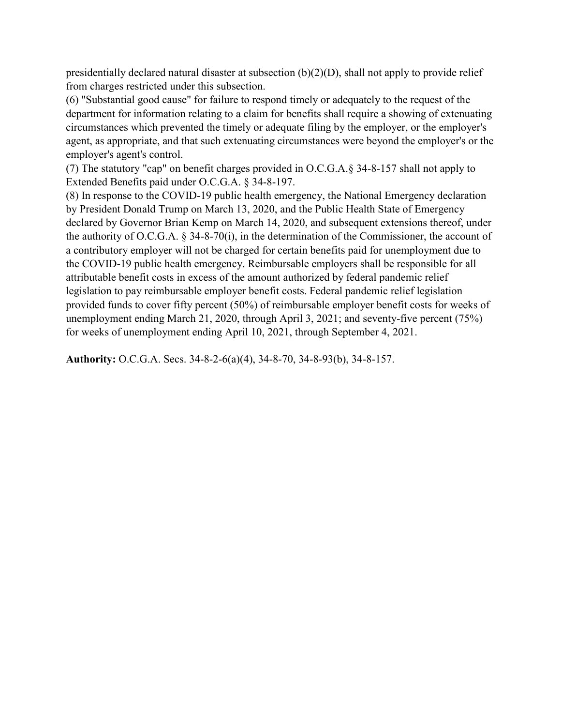presidentially declared natural disaster at subsection  $(b)(2)(D)$ , shall not apply to provide relief from charges restricted under this subsection.

(6) "Substantial good cause" for failure to respond timely or adequately to the request of the department for information relating to a claim for benefits shall require a showing of extenuating circumstances which prevented the timely or adequate filing by the employer, or the employer's agent, as appropriate, and that such extenuating circumstances were beyond the employer's or the employer's agent's control.

(7) The statutory "cap" on benefit charges provided in O.C.G.A.§ 34-8-157 shall not apply to Extended Benefits paid under O.C.G.A. § 34-8-197.

(8) In response to the COVID-19 public health emergency, the National Emergency declaration by President Donald Trump on March 13, 2020, and the Public Health State of Emergency declared by Governor Brian Kemp on March 14, 2020, and subsequent extensions thereof, under the authority of O.C.G.A. § 34-8-70(i), in the determination of the Commissioner, the account of a contributory employer will not be charged for certain benefits paid for unemployment due to the COVID-19 public health emergency. Reimbursable employers shall be responsible for all attributable benefit costs in excess of the amount authorized by federal pandemic relief legislation to pay reimbursable employer benefit costs. Federal pandemic relief legislation provided funds to cover fifty percent (50%) of reimbursable employer benefit costs for weeks of unemployment ending March 21, 2020, through April 3, 2021; and seventy-five percent (75%) for weeks of unemployment ending April 10, 2021, through September 4, 2021.

**Authority:** O.C.G.A. Secs. 34-8-2-6(a)(4), 34-8-70, 34-8-93(b), 34-8-157.